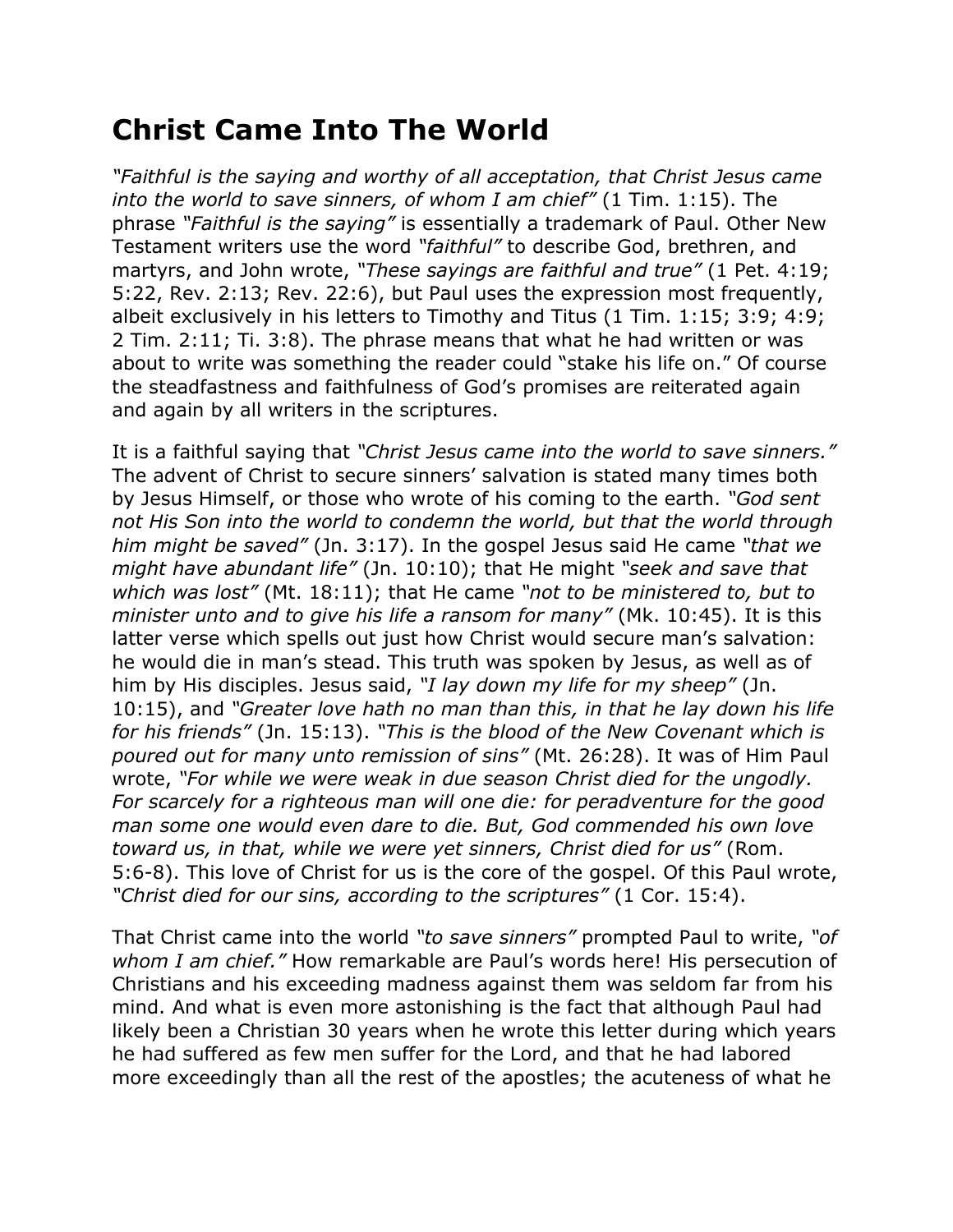## **Christ Came Into The World**

*"Faithful is the saying and worthy of all acceptation, that Christ Jesus came into the world to save sinners, of whom I am chief"* (1 Tim. 1:15). The phrase *"Faithful is the saying"* is essentially a trademark of Paul. Other New Testament writers use the word *"faithful"* to describe God, brethren, and martyrs, and John wrote, *"These sayings are faithful and true"* (1 Pet. 4:19; 5:22, Rev. 2:13; Rev. 22:6), but Paul uses the expression most frequently, albeit exclusively in his letters to Timothy and Titus (1 Tim. 1:15; 3:9; 4:9; 2 Tim. 2:11; Ti. 3:8). The phrase means that what he had written or was about to write was something the reader could "stake his life on." Of course the steadfastness and faithfulness of God's promises are reiterated again and again by all writers in the scriptures.

It is a faithful saying that *"Christ Jesus came into the world to save sinners."* The advent of Christ to secure sinners' salvation is stated many times both by Jesus Himself, or those who wrote of his coming to the earth. *"God sent not His Son into the world to condemn the world, but that the world through him might be saved"* (Jn. 3:17). In the gospel Jesus said He came *"that we might have abundant life"* (Jn. 10:10); that He might *"seek and save that which was lost"* (Mt. 18:11); that He came *"not to be ministered to, but to minister unto and to give his life a ransom for many"* (Mk. 10:45). It is this latter verse which spells out just how Christ would secure man's salvation: he would die in man's stead. This truth was spoken by Jesus, as well as of him by His disciples. Jesus said, *"I lay down my life for my sheep"* (Jn. 10:15), and *"Greater love hath no man than this, in that he lay down his life for his friends"* (Jn. 15:13). *"This is the blood of the New Covenant which is poured out for many unto remission of sins"* (Mt. 26:28). It was of Him Paul wrote, *"For while we were weak in due season Christ died for the ungodly. For scarcely for a righteous man will one die: for peradventure for the good man some one would even dare to die. But, God commended his own love toward us, in that, while we were yet sinners, Christ died for us"* (Rom. 5:6-8). This love of Christ for us is the core of the gospel. Of this Paul wrote, *"Christ died for our sins, according to the scriptures"* (1 Cor. 15:4).

That Christ came into the world *"to save sinners"* prompted Paul to write, *"of whom I am chief."* How remarkable are Paul's words here! His persecution of Christians and his exceeding madness against them was seldom far from his mind. And what is even more astonishing is the fact that although Paul had likely been a Christian 30 years when he wrote this letter during which years he had suffered as few men suffer for the Lord, and that he had labored more exceedingly than all the rest of the apostles; the acuteness of what he